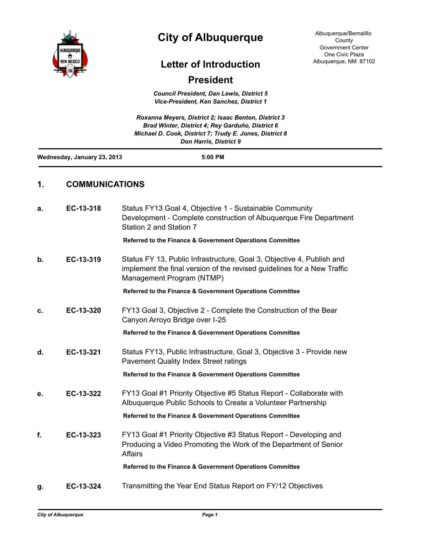

# **City of Albuquerque**

## **Letter of Introduction**

### **President**

*Council President, Dan Lewis, District 5 Vice-President, Ken Sanchez, District 1*

|    |                             | Roxanna Meyers, District 2; Isaac Benton, District 3<br>Brad Winter, District 4: Rey Garduño, District 6<br>Michael D. Cook, District 7; Trudy E. Jones, District 8<br><b>Don Harris, District 9</b> |
|----|-----------------------------|------------------------------------------------------------------------------------------------------------------------------------------------------------------------------------------------------|
|    | Wednesday, January 23, 2013 | $5:00$ PM                                                                                                                                                                                            |
| 1. | <b>COMMUNICATIONS</b>       |                                                                                                                                                                                                      |
| а. | EC-13-318                   | Status FY13 Goal 4, Objective 1 - Sustainable Community<br>Development - Complete construction of Albuquerque Fire Department                                                                        |

Station 2 and Station 7 **Referred to the Finance & Government Operations Committee**

**b. EC-13-319** Status FY 13, Public Infrastructure, Goal 3, Objective 4, Publish and implement the final version of the revised guidelines for a New Traffic Management Program (NTMP)

**Referred to the Finance & Government Operations Committee**

**c. EC-13-320** FY13 Goal 3, Objective 2 - Complete the Construction of the Bear Canyon Arroyo Bridge over I-25

**Referred to the Finance & Government Operations Committee**

**d. EC-13-321** Status FY13, Public Infrastructure, Goal 3, Objective 3 - Provide new Pavement Quality Index Street ratings

**Referred to the Finance & Government Operations Committee**

**e. EC-13-322** FY13 Goal #1 Priority Objective #5 Status Report - Collaborate with Albuquerque Public Schools to Create a Volunteer Partnership

**Referred to the Finance & Government Operations Committee**

**f. EC-13-323** FY13 Goal #1 Priority Objective #3 Status Report - Developing and Producing a Video Promoting the Work of the Department of Senior **Affairs** 

**Referred to the Finance & Government Operations Committee**

**g. EC-13-324** Transmitting the Year End Status Report on FY/12 Objectives

Albuquerque/Bernalillo County Government Center One Civic Plaza Albuquerque, NM 87102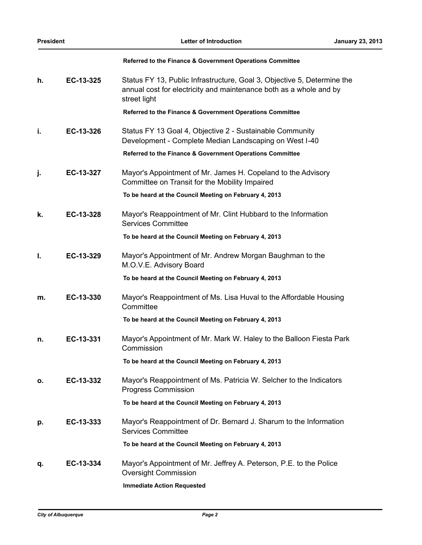|    |           | Referred to the Finance & Government Operations Committee                                                                                                     |
|----|-----------|---------------------------------------------------------------------------------------------------------------------------------------------------------------|
| h. | EC-13-325 | Status FY 13, Public Infrastructure, Goal 3, Objective 5, Determine the<br>annual cost for electricity and maintenance both as a whole and by<br>street light |
|    |           | Referred to the Finance & Government Operations Committee                                                                                                     |
| i. | EC-13-326 | Status FY 13 Goal 4, Objective 2 - Sustainable Community<br>Development - Complete Median Landscaping on West I-40                                            |
|    |           | Referred to the Finance & Government Operations Committee                                                                                                     |
| j. | EC-13-327 | Mayor's Appointment of Mr. James H. Copeland to the Advisory<br>Committee on Transit for the Mobility Impaired                                                |
|    |           | To be heard at the Council Meeting on February 4, 2013                                                                                                        |
| k. | EC-13-328 | Mayor's Reappointment of Mr. Clint Hubbard to the Information<br><b>Services Committee</b>                                                                    |
|    |           | To be heard at the Council Meeting on February 4, 2013                                                                                                        |
| I. | EC-13-329 | Mayor's Appointment of Mr. Andrew Morgan Baughman to the<br>M.O.V.E. Advisory Board                                                                           |
|    |           | To be heard at the Council Meeting on February 4, 2013                                                                                                        |
| m. | EC-13-330 | Mayor's Reappointment of Ms. Lisa Huval to the Affordable Housing<br>Committee                                                                                |
|    |           | To be heard at the Council Meeting on February 4, 2013                                                                                                        |
| n. | EC-13-331 | Mayor's Appointment of Mr. Mark W. Haley to the Balloon Fiesta Park<br>Commission                                                                             |
|    |           | To be heard at the Council Meeting on February 4, 2013                                                                                                        |
| ο. | EC-13-332 | Mayor's Reappointment of Ms. Patricia W. Selcher to the Indicators<br><b>Progress Commission</b>                                                              |
|    |           | To be heard at the Council Meeting on February 4, 2013                                                                                                        |
| р. | EC-13-333 | Mayor's Reappointment of Dr. Bernard J. Sharum to the Information<br><b>Services Committee</b>                                                                |
|    |           | To be heard at the Council Meeting on February 4, 2013                                                                                                        |
| q. | EC-13-334 | Mayor's Appointment of Mr. Jeffrey A. Peterson, P.E. to the Police<br><b>Oversight Commission</b>                                                             |
|    |           | <b>Immediate Action Requested</b>                                                                                                                             |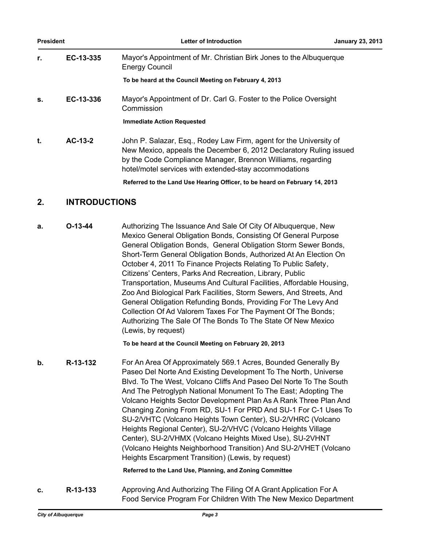| <b>President</b> |           | Letter of Introduction                                                                                                                                                                                                                                            | <b>January 23, 2013</b> |
|------------------|-----------|-------------------------------------------------------------------------------------------------------------------------------------------------------------------------------------------------------------------------------------------------------------------|-------------------------|
| r.               | EC-13-335 | Mayor's Appointment of Mr. Christian Birk Jones to the Albuquerque<br><b>Energy Council</b>                                                                                                                                                                       |                         |
|                  |           | To be heard at the Council Meeting on February 4, 2013                                                                                                                                                                                                            |                         |
| s.               | EC-13-336 | Mayor's Appointment of Dr. Carl G. Foster to the Police Oversight<br>Commission                                                                                                                                                                                   |                         |
|                  |           | <b>Immediate Action Requested</b>                                                                                                                                                                                                                                 |                         |
| t.               | $AC-13-2$ | John P. Salazar, Esq., Rodey Law Firm, agent for the University of<br>New Mexico, appeals the December 6, 2012 Declaratory Ruling issued<br>by the Code Compliance Manager, Brennon Williams, regarding<br>hotel/motel services with extended-stay accommodations |                         |
|                  |           | Referred to the Land Use Hearing Officer, to be heard on February 14, 2013                                                                                                                                                                                        |                         |

### **2. INTRODUCTIONS**

**a. O-13-44** Authorizing The Issuance And Sale Of City Of Albuquerque, New Mexico General Obligation Bonds, Consisting Of General Purpose General Obligation Bonds, General Obligation Storm Sewer Bonds, Short-Term General Obligation Bonds, Authorized At An Election On October 4, 2011 To Finance Projects Relating To Public Safety, Citizens' Centers, Parks And Recreation, Library, Public Transportation, Museums And Cultural Facilities, Affordable Housing, Zoo And Biological Park Facilities, Storm Sewers, And Streets, And General Obligation Refunding Bonds, Providing For The Levy And Collection Of Ad Valorem Taxes For The Payment Of The Bonds; Authorizing The Sale Of The Bonds To The State Of New Mexico (Lewis, by request)

**To be heard at the Council Meeting on February 20, 2013**

**b. R-13-132** For An Area Of Approximately 569.1 Acres, Bounded Generally By Paseo Del Norte And Existing Development To The North, Universe Blvd. To The West, Volcano Cliffs And Paseo Del Norte To The South And The Petroglyph National Monument To The East; Adopting The Volcano Heights Sector Development Plan As A Rank Three Plan And Changing Zoning From RD, SU-1 For PRD And SU-1 For C-1 Uses To SU-2/VHTC (Volcano Heights Town Center), SU-2/VHRC (Volcano Heights Regional Center), SU-2/VHVC (Volcano Heights Village Center), SU-2/VHMX (Volcano Heights Mixed Use), SU-2VHNT (Volcano Heights Neighborhood Transition) And SU-2/VHET (Volcano Heights Escarpment Transition) (Lewis, by request)

#### **Referred to the Land Use, Planning, and Zoning Committee**

**c. R-13-133** Approving And Authorizing The Filing Of A Grant Application For A Food Service Program For Children With The New Mexico Department